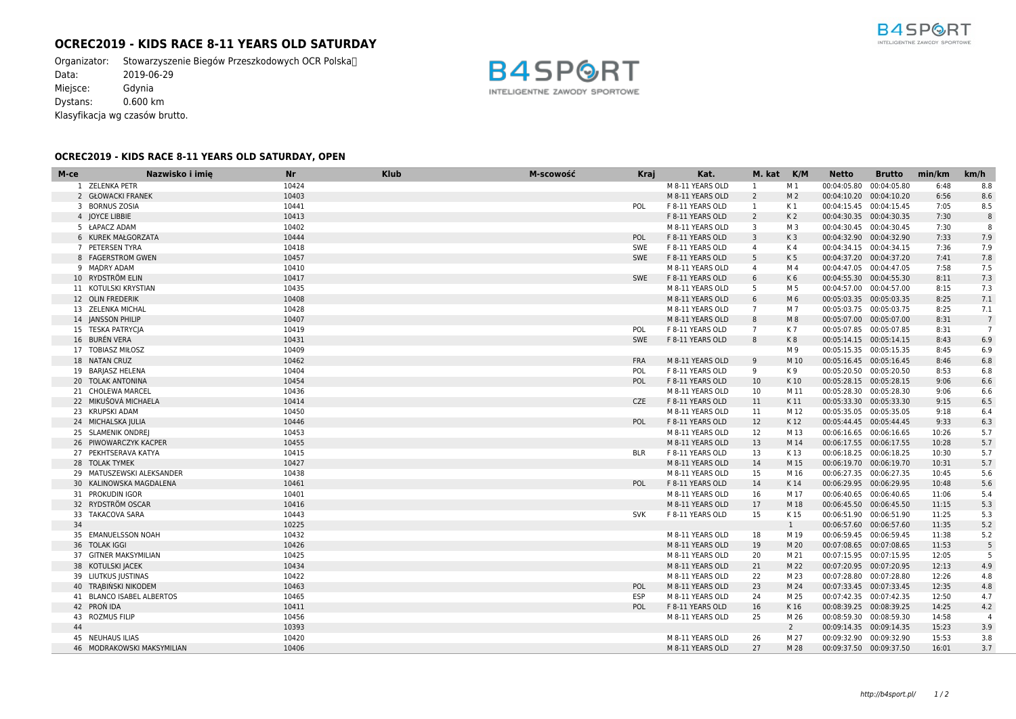## **OCREC2019 - KIDS RACE 8-11 YEARS OLD SATURDAY**

Organizator: Stowarzyszenie Biegów Przeszkodowych OCR Polska<sup>n</sup><br>Data: 2019-06-29  $2019-06-29$ Miejsce: Gdynia Dystans: 0.600 km Klasyfikacja wg czasów brutto.



## **OCREC2019 - KIDS RACE 8-11 YEARS OLD SATURDAY, OPEN**

| M-ce | Nazwisko i imie            | <b>Nr</b> | <b>Klub</b> | M-scowość | <b>Kraj</b> | Kat.             | M. kat K/M      |                | <b>Netto</b>             | <b>Brutto</b> | min/km | km/h             |
|------|----------------------------|-----------|-------------|-----------|-------------|------------------|-----------------|----------------|--------------------------|---------------|--------|------------------|
|      | 1 ZELENKA PETR             | 10424     |             |           |             | M 8-11 YEARS OLD | 1               | M 1            | 00:04:05.80 00:04:05.80  |               | 6:48   | 8.8              |
|      | 2 GŁOWACKI FRANEK          | 10403     |             |           |             | M 8-11 YEARS OLD | $\overline{2}$  | M <sub>2</sub> | 00:04:10.20 00:04:10.20  |               | 6:56   | 8.6              |
|      | 3 BORNUS ZOSIA             | 10441     |             |           | POL         | F 8-11 YEARS OLD | 1               | K <sub>1</sub> | 00:04:15.45 00:04:15.45  |               | 7:05   | 8.5              |
|      | 4 JOYCE LIBBIE             | 10413     |             |           |             | F 8-11 YEARS OLD | 2               | K <sub>2</sub> | 00:04:30.35 00:04:30.35  |               | 7:30   | $\boldsymbol{8}$ |
|      | 5 ŁAPACZ ADAM              | 10402     |             |           |             | M 8-11 YEARS OLD | 3               | M 3            | 00:04:30.45 00:04:30.45  |               | 7:30   | 8                |
|      | 6 KUREK MAŁGORZATA         | 10444     |             |           | POL         | F 8-11 YEARS OLD | $\overline{3}$  | K <sub>3</sub> | 00:04:32.90 00:04:32.90  |               | 7:33   | 7.9              |
|      | 7 PETERSEN TYRA            | 10418     |             |           | SWE         | F 8-11 YEARS OLD | $\overline{4}$  | K 4            | 00:04:34.15  00:04:34.15 |               | 7:36   | 7.9              |
|      | 8 FAGERSTROM GWEN          | 10457     |             |           | <b>SWE</b>  | F 8-11 YEARS OLD | 5               | K <sub>5</sub> | 00:04:37.20 00:04:37.20  |               | 7:41   | 7.8              |
|      | 9 MADRY ADAM               | 10410     |             |           |             | M 8-11 YEARS OLD | $\overline{4}$  | M 4            | 00:04:47.05 00:04:47.05  |               | 7:58   | 7.5              |
|      | 10 RYDSTRÖM ELIN           | 10417     |             |           | <b>SWE</b>  | F 8-11 YEARS OLD | 6               | K6             | 00:04:55.30 00:04:55.30  |               | 8:11   | 7.3              |
|      | 11 KOTULSKI KRYSTIAN       | 10435     |             |           |             | M 8-11 YEARS OLD | - 5             | M 5            | 00:04:57.00 00:04:57.00  |               | 8:15   | 7.3              |
|      | 12 OLIN FREDERIK           | 10408     |             |           |             | M 8-11 YEARS OLD | 6               | M 6            | 00:05:03.35 00:05:03.35  |               | 8:25   | 7.1              |
|      | 13 ZELENKA MICHAL          | 10428     |             |           |             | M 8-11 YEARS OLD | $7\overline{ }$ | M 7            | 00:05:03.75 00:05:03.75  |               | 8:25   | 7.1              |
|      | 14 JANSSON PHILIP          | 10407     |             |           |             | M 8-11 YEARS OLD | 8               | M8             | 00:05:07.00 00:05:07.00  |               | 8:31   | $\overline{7}$   |
|      | 15 TESKA PATRYCJA          | 10419     |             |           | POL         | F 8-11 YEARS OLD | $\overline{7}$  | K 7            | 00:05:07.85 00:05:07.85  |               | 8:31   | $\overline{7}$   |
|      | 16 BURÉN VERA              | 10431     |             |           | <b>SWE</b>  | F 8-11 YEARS OLD | 8               | K8             | 00:05:14.15  00:05:14.15 |               | 8:43   | 6.9              |
|      | 17 TOBIASZ MIŁOSZ          | 10409     |             |           |             |                  |                 | M 9            | 00:05:15.35 00:05:15.35  |               | 8:45   | 6.9              |
|      | 18 NATAN CRUZ              | 10462     |             |           | <b>FRA</b>  | M 8-11 YEARS OLD | 9               | M 10           | 00:05:16.45 00:05:16.45  |               | 8:46   | 6.8              |
|      | 19 BARJASZ HELENA          | 10404     |             |           | POL         | F 8-11 YEARS OLD | 9               | K 9            | 00:05:20.50 00:05:20.50  |               | 8:53   | 6.8              |
|      | 20 TOLAK ANTONINA          | 10454     |             |           | POL         | F 8-11 YEARS OLD | 10              | K 10           | 00:05:28.15 00:05:28.15  |               | 9:06   | 6.6              |
|      | 21 CHOLEWA MARCEL          | 10436     |             |           |             | M 8-11 YEARS OLD | 10              | M 11           | 00:05:28.30 00:05:28.30  |               | 9:06   | 6.6              |
|      | 22 MIKUŠOVÁ MICHAELA       | 10414     |             |           | CZE         | F 8-11 YEARS OLD | 11              | K 11           | 00:05:33.30 00:05:33.30  |               | 9:15   | 6.5              |
|      | 23 KRUPSKI ADAM            | 10450     |             |           |             | M 8-11 YEARS OLD | 11              | M 12           | 00:05:35.05 00:05:35.05  |               | 9:18   | 6.4              |
|      | 24 MICHALSKA JULIA         | 10446     |             |           | POL         | F 8-11 YEARS OLD | 12              | K 12           | 00:05:44.45 00:05:44.45  |               | 9:33   | 6.3              |
|      | 25 SLAMENIK ONDREI         | 10453     |             |           |             | M 8-11 YEARS OLD | 12              | M 13           | 00:06:16.65 00:06:16.65  |               | 10:26  | 5.7              |
|      | 26 PIWOWARCZYK KACPER      | 10455     |             |           |             | M 8-11 YEARS OLD | 13              | M 14           | 00:06:17.55 00:06:17.55  |               | 10:28  | 5.7              |
|      | 27 PEKHTSERAVA KATYA       | 10415     |             |           | <b>BLR</b>  | F 8-11 YEARS OLD | 13              | K 13           | 00:06:18.25 00:06:18.25  |               | 10:30  | 5.7              |
|      | 28 TOLAK TYMEK             | 10427     |             |           |             | M 8-11 YEARS OLD | 14              | M 15           | 00:06:19.70 00:06:19.70  |               | 10:31  | 5.7              |
|      | 29 MATUSZEWSKI ALEKSANDER  | 10438     |             |           |             | M 8-11 YEARS OLD | 15              | M 16           | 00:06:27.35 00:06:27.35  |               | 10:45  | 5.6              |
|      | 30 KALINOWSKA MAGDALENA    | 10461     |             |           | POL         | F 8-11 YEARS OLD | 14              | K 14           | 00:06:29.95 00:06:29.95  |               | 10:48  | 5.6              |
|      | 31 PROKUDIN IGOR           | 10401     |             |           |             | M 8-11 YEARS OLD | 16              | M 17           | 00:06:40.65 00:06:40.65  |               | 11:06  | 5.4              |
|      | 32 RYDSTRÖM OSCAR          | 10416     |             |           |             | M 8-11 YEARS OLD | 17              | M 18           | 00:06:45.50 00:06:45.50  |               | 11:15  | 5.3              |
|      | 33 TAKACOVA SARA           | 10443     |             |           | <b>SVK</b>  | F 8-11 YEARS OLD | 15              | K 15           | 00:06:51.90 00:06:51.90  |               | 11:25  | 5.3              |
| 34   |                            | 10225     |             |           |             |                  |                 | 1              | 00:06:57.60 00:06:57.60  |               | 11:35  | 5.2              |
|      | 35 EMANUELSSON NOAH        | 10432     |             |           |             | M 8-11 YEARS OLD | 18              | M 19           | 00:06:59.45 00:06:59.45  |               | 11:38  | 5.2              |
|      | 36 TOLAK IGGI              | 10426     |             |           |             | M 8-11 YEARS OLD | 19              | M 20           | 00:07:08.65 00:07:08.65  |               | 11:53  | 5                |
|      | 37 GITNER MAKSYMILIAN      | 10425     |             |           |             | M 8-11 YEARS OLD | 20              | M 21           | 00:07:15.95 00:07:15.95  |               | 12:05  | 5                |
|      | 38 KOTULSKI JACEK          | 10434     |             |           |             | M 8-11 YEARS OLD | 21              | M 22           | 00:07:20.95 00:07:20.95  |               | 12:13  | 4.9              |
|      | 39 LIUTKUS JUSTINAS        | 10422     |             |           |             | M 8-11 YEARS OLD | 22              | M 23           | 00:07:28.80 00:07:28.80  |               | 12:26  | 4.8              |
|      | 40 TRABIŃSKI NIKODEM       | 10463     |             |           | POL         | M 8-11 YEARS OLD | 23              | M 24           | 00:07:33.45 00:07:33.45  |               | 12:35  | 4.8              |
|      | 41 BLANCO ISABEL ALBERTOS  | 10465     |             |           | ESP         | M 8-11 YEARS OLD | 24              | M 25           | 00:07:42.35 00:07:42.35  |               | 12:50  | 4.7              |
|      | 42 PRON IDA                | 10411     |             |           | POL         | F 8-11 YEARS OLD | 16              | K 16           | 00:08:39.25 00:08:39.25  |               | 14:25  | 4.2              |
|      | 43 ROZMUS FILIP            | 10456     |             |           |             | M 8-11 YEARS OLD | 25              | M 26           | 00:08:59.30 00:08:59.30  |               | 14:58  | $\overline{4}$   |
| 44   |                            | 10393     |             |           |             |                  |                 | $\overline{2}$ | 00:09:14.35 00:09:14.35  |               | 15:23  | 3.9              |
|      | 45 NEUHAUS ILIAS           | 10420     |             |           |             | M 8-11 YEARS OLD | 26              | M 27           | 00:09:32.90 00:09:32.90  |               | 15:53  | 3.8              |
|      | 46 MODRAKOWSKI MAKSYMILIAN | 10406     |             |           |             | M 8-11 YEARS OLD | 27              | M 28           | 00:09:37.50 00:09:37.50  |               | 16:01  | 3.7              |